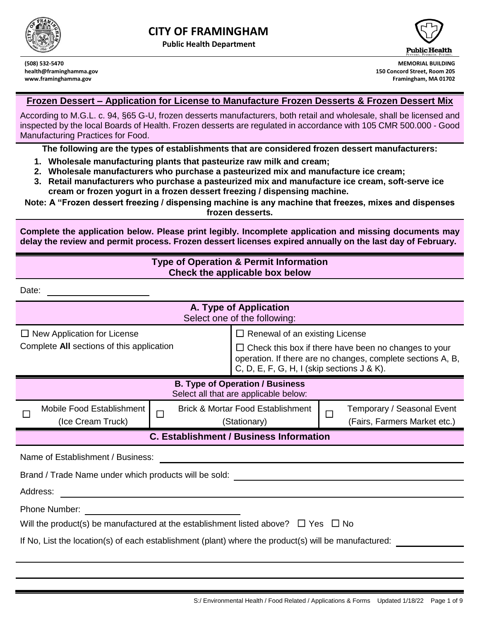

 $D$ oto:

**Public Health Department**



**(508) 532-5470 MEMORIAL BUILDING health@framinghamma.gov 150 Concord Street, Room 205 www.framinghamma.gov Framingham, MA 01702**

#### **Frozen Dessert – Application for License to Manufacture Frozen Desserts & Frozen Dessert Mix**

According to M.G.L. c. 94, §65 G-U, frozen desserts manufacturers, both retail and wholesale, shall be licensed and inspected by the local Boards of Health. Frozen desserts are regulated in accordance with 105 CMR 500.000 - Good Manufacturing Practices for Food.

**The following are the types of establishments that are considered frozen dessert manufacturers:**

- **1. Wholesale manufacturing plants that pasteurize raw milk and cream;**
- **2. Wholesale manufacturers who purchase a pasteurized mix and manufacture ice cream;**
- **3. Retail manufacturers who purchase a pasteurized mix and manufacture ice cream, soft-serve ice cream or frozen yogurt in a frozen dessert freezing / dispensing machine.**

**Note: A "Frozen dessert freezing / dispensing machine is any machine that freezes, mixes and dispenses frozen desserts.**

**Complete the application below. Please print legibly. Incomplete application and missing documents may delay the review and permit process. Frozen dessert licenses expired annually on the last day of February.**

#### **Type of Operation & Permit Information Check the applicable box below**

| υαισ.                                                                                                |              |                                                                                                                                                                             |        |                              |
|------------------------------------------------------------------------------------------------------|--------------|-----------------------------------------------------------------------------------------------------------------------------------------------------------------------------|--------|------------------------------|
| A. Type of Application<br>Select one of the following:                                               |              |                                                                                                                                                                             |        |                              |
| $\Box$ New Application for License                                                                   |              | $\Box$ Renewal of an existing License                                                                                                                                       |        |                              |
| Complete All sections of this application                                                            |              | $\Box$ Check this box if there have been no changes to your<br>operation. If there are no changes, complete sections A, B,<br>C, D, E, F, G, H, I (skip sections $J & K$ ). |        |                              |
| <b>B. Type of Operation / Business</b><br>Select all that are applicable below:                      |              |                                                                                                                                                                             |        |                              |
| Mobile Food Establishment                                                                            | П            | <b>Brick &amp; Mortar Food Establishment</b>                                                                                                                                | $\Box$ | Temporary / Seasonal Event   |
| (Ice Cream Truck)                                                                                    | (Stationary) |                                                                                                                                                                             |        | (Fairs, Farmers Market etc.) |
| <b>C. Establishment / Business Information</b>                                                       |              |                                                                                                                                                                             |        |                              |
| Name of Establishment / Business:                                                                    |              |                                                                                                                                                                             |        |                              |
| Brand / Trade Name under which products will be sold:                                                |              |                                                                                                                                                                             |        |                              |
| Address:                                                                                             |              |                                                                                                                                                                             |        |                              |
| Phone Number:                                                                                        |              |                                                                                                                                                                             |        |                              |
| Will the product(s) be manufactured at the establishment listed above? $\Box$ Yes $\Box$ No          |              |                                                                                                                                                                             |        |                              |
| If No, List the location(s) of each establishment (plant) where the product(s) will be manufactured: |              |                                                                                                                                                                             |        |                              |
|                                                                                                      |              |                                                                                                                                                                             |        |                              |
|                                                                                                      |              |                                                                                                                                                                             |        |                              |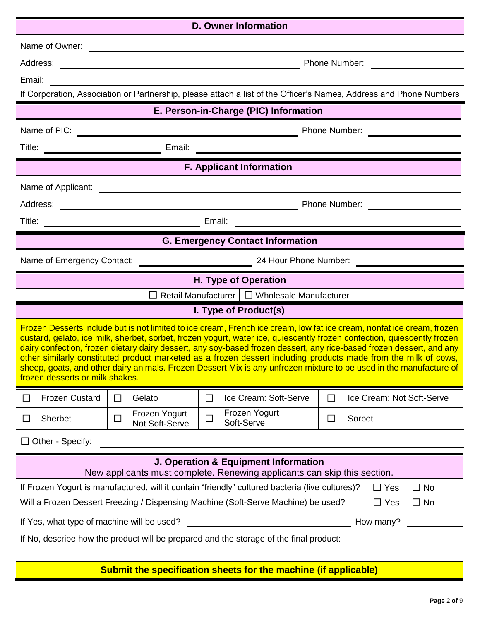| <b>D. Owner Information</b>                                                                                                                                                                                                                                                                                                                                                                                                                                                                                                                                                                                                                           |                                                             |                                                          |                                                                                                                    |
|-------------------------------------------------------------------------------------------------------------------------------------------------------------------------------------------------------------------------------------------------------------------------------------------------------------------------------------------------------------------------------------------------------------------------------------------------------------------------------------------------------------------------------------------------------------------------------------------------------------------------------------------------------|-------------------------------------------------------------|----------------------------------------------------------|--------------------------------------------------------------------------------------------------------------------|
| Name of Owner:                                                                                                                                                                                                                                                                                                                                                                                                                                                                                                                                                                                                                                        |                                                             |                                                          |                                                                                                                    |
| Address:                                                                                                                                                                                                                                                                                                                                                                                                                                                                                                                                                                                                                                              | <u> 1980 - Johann Stoff, Amerikaansk politiker († 1901)</u> |                                                          | Phone Number:                                                                                                      |
| Email:                                                                                                                                                                                                                                                                                                                                                                                                                                                                                                                                                                                                                                                |                                                             |                                                          |                                                                                                                    |
|                                                                                                                                                                                                                                                                                                                                                                                                                                                                                                                                                                                                                                                       |                                                             |                                                          | If Corporation, Association or Partnership, please attach a list of the Officer's Names, Address and Phone Numbers |
|                                                                                                                                                                                                                                                                                                                                                                                                                                                                                                                                                                                                                                                       |                                                             | E. Person-in-Charge (PIC) Information                    |                                                                                                                    |
| Name of PIC:                                                                                                                                                                                                                                                                                                                                                                                                                                                                                                                                                                                                                                          |                                                             |                                                          |                                                                                                                    |
| Title:<br><u> 1980 - Johann Barbara, martin d</u>                                                                                                                                                                                                                                                                                                                                                                                                                                                                                                                                                                                                     | Email:                                                      | <u> 1989 - Andrea Andrew Maria (h. 1989).</u>            |                                                                                                                    |
|                                                                                                                                                                                                                                                                                                                                                                                                                                                                                                                                                                                                                                                       |                                                             | <b>F. Applicant Information</b>                          |                                                                                                                    |
| Name of Applicant:                                                                                                                                                                                                                                                                                                                                                                                                                                                                                                                                                                                                                                    |                                                             | <u> 1989 - Johann Barnett, fransk politik (d. 1989)</u>  |                                                                                                                    |
| Address:                                                                                                                                                                                                                                                                                                                                                                                                                                                                                                                                                                                                                                              | <u> 1980 - Johann Barbara, martxa alemaniar amerikan a</u>  |                                                          | Phone Number:                                                                                                      |
| Title:<br>Email:<br><u> 1989 - Johann John Stone, markin sanadi a shekara 1989 - Shekara ta 1989 - Shekara ta 1989 - Shekara ta 1980</u>                                                                                                                                                                                                                                                                                                                                                                                                                                                                                                              |                                                             |                                                          |                                                                                                                    |
| <b>G. Emergency Contact Information</b>                                                                                                                                                                                                                                                                                                                                                                                                                                                                                                                                                                                                               |                                                             |                                                          |                                                                                                                    |
| Name of Emergency Contact:                                                                                                                                                                                                                                                                                                                                                                                                                                                                                                                                                                                                                            |                                                             |                                                          |                                                                                                                    |
|                                                                                                                                                                                                                                                                                                                                                                                                                                                                                                                                                                                                                                                       |                                                             | H. Type of Operation                                     |                                                                                                                    |
|                                                                                                                                                                                                                                                                                                                                                                                                                                                                                                                                                                                                                                                       |                                                             | $\Box$ Retail Manufacturer $\Box$ Wholesale Manufacturer |                                                                                                                    |
|                                                                                                                                                                                                                                                                                                                                                                                                                                                                                                                                                                                                                                                       |                                                             | I. Type of Product(s)                                    |                                                                                                                    |
| Frozen Desserts include but is not limited to ice cream, French ice cream, low fat ice cream, nonfat ice cream, frozen<br>custard, gelato, ice milk, sherbet, sorbet, frozen yogurt, water ice, quiescently frozen confection, quiescently frozen<br>dairy confection, frozen dietary dairy dessert, any soy-based frozen dessert, any rice-based frozen dessert, and any<br>other similarly constituted product marketed as a frozen dessert including products made from the milk of cows,<br>sheep, goats, and other dairy animals. Frozen Dessert Mix is any unfrozen mixture to be used in the manufacture of<br>frozen desserts or milk shakes. |                                                             |                                                          |                                                                                                                    |
| <b>Frozen Custard</b>                                                                                                                                                                                                                                                                                                                                                                                                                                                                                                                                                                                                                                 | Gelato<br>$\Box$                                            | Ice Cream: Soft-Serve<br>$\Box$                          | Ice Cream: Not Soft-Serve<br>$\Box$                                                                                |
| Sherbet                                                                                                                                                                                                                                                                                                                                                                                                                                                                                                                                                                                                                                               | Frozen Yogurt<br>$\Box$<br>Not Soft-Serve                   | Frozen Yogurt<br>$\Box$<br>Soft-Serve                    | Sorbet<br>$\Box$                                                                                                   |
| $\Box$ Other - Specify:                                                                                                                                                                                                                                                                                                                                                                                                                                                                                                                                                                                                                               |                                                             |                                                          |                                                                                                                    |
| J. Operation & Equipment Information<br>New applicants must complete. Renewing applicants can skip this section.                                                                                                                                                                                                                                                                                                                                                                                                                                                                                                                                      |                                                             |                                                          |                                                                                                                    |
| If Frozen Yogurt is manufactured, will it contain "friendly" cultured bacteria (live cultures)?<br>$\Box$ No<br>$\Box$ Yes<br>Will a Frozen Dessert Freezing / Dispensing Machine (Soft-Serve Machine) be used?<br>$\Box$ Yes<br>$\Box$ No                                                                                                                                                                                                                                                                                                                                                                                                            |                                                             |                                                          |                                                                                                                    |
| If Yes, what type of machine will be used?<br>How many?                                                                                                                                                                                                                                                                                                                                                                                                                                                                                                                                                                                               |                                                             |                                                          |                                                                                                                    |
| If No, describe how the product will be prepared and the storage of the final product:                                                                                                                                                                                                                                                                                                                                                                                                                                                                                                                                                                |                                                             |                                                          |                                                                                                                    |

## **Submit the specification sheets for the machine (if applicable)**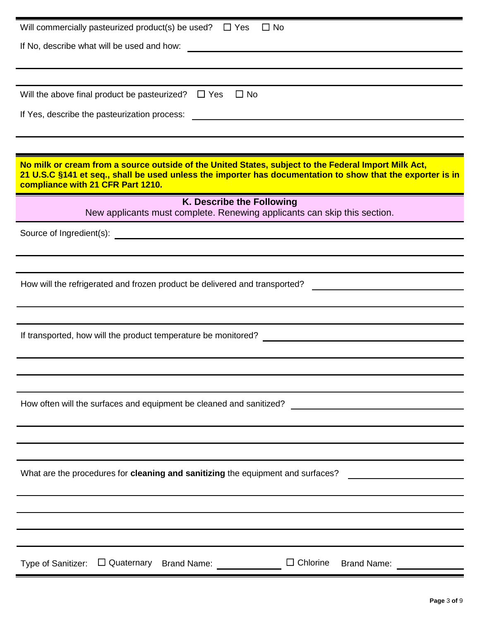| Will commercially pasteurized product(s) be used?<br>$\Box$ No<br>$\Box$ Yes                                                                                                                                                                            |
|---------------------------------------------------------------------------------------------------------------------------------------------------------------------------------------------------------------------------------------------------------|
| If No, describe what will be used and how:                                                                                                                                                                                                              |
|                                                                                                                                                                                                                                                         |
|                                                                                                                                                                                                                                                         |
| Will the above final product be pasteurized?<br>$\Box$ Yes<br>$\Box$ No                                                                                                                                                                                 |
| If Yes, describe the pasteurization process:                                                                                                                                                                                                            |
|                                                                                                                                                                                                                                                         |
| No milk or cream from a source outside of the United States, subject to the Federal Import Milk Act,<br>21 U.S.C §141 et seq., shall be used unless the importer has documentation to show that the exporter is in<br>compliance with 21 CFR Part 1210. |
| K. Describe the Following<br>New applicants must complete. Renewing applicants can skip this section.                                                                                                                                                   |
| Source of Ingredient(s):<br><u> 1989 - Johann John Stone, mars eta bat erroman erroman erroman erroman erroman erroman erroman erroman erroma</u>                                                                                                       |
|                                                                                                                                                                                                                                                         |
|                                                                                                                                                                                                                                                         |
| How will the refrigerated and frozen product be delivered and transported?                                                                                                                                                                              |
|                                                                                                                                                                                                                                                         |
|                                                                                                                                                                                                                                                         |
| If transported, how will the product temperature be monitored?                                                                                                                                                                                          |
|                                                                                                                                                                                                                                                         |
|                                                                                                                                                                                                                                                         |
|                                                                                                                                                                                                                                                         |
|                                                                                                                                                                                                                                                         |
|                                                                                                                                                                                                                                                         |
|                                                                                                                                                                                                                                                         |
| What are the procedures for cleaning and sanitizing the equipment and surfaces?                                                                                                                                                                         |
|                                                                                                                                                                                                                                                         |
|                                                                                                                                                                                                                                                         |
|                                                                                                                                                                                                                                                         |
|                                                                                                                                                                                                                                                         |
| Type of Sanitizer: □ Quaternary Brand Name: □ □ Chlorine Brand Name: □                                                                                                                                                                                  |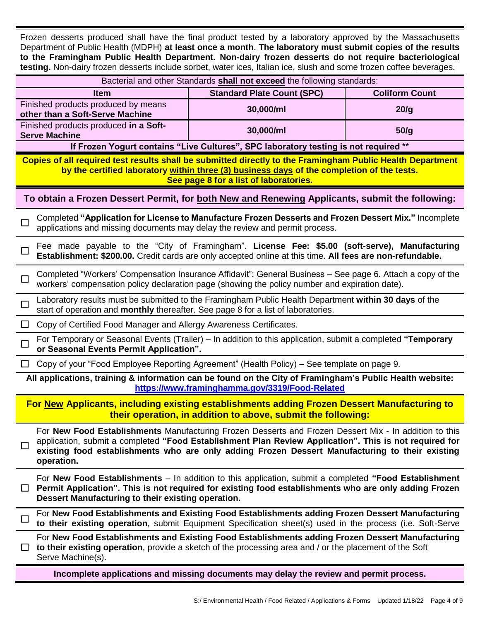Frozen desserts produced shall have the final product tested by a laboratory approved by the Massachusetts Department of Public Health (MDPH) **at least once a month**. **The laboratory must submit copies of the results to the Framingham Public Health Department. Non-dairy frozen desserts do not require bacteriological testing.** Non-dairy frozen desserts include sorbet, water ices, Italian ice, slush and some frozen coffee beverages.

| Bacterial and other Standards shall not exceed the following standards:                                                                                                                                                                                                                                                                     |                                                                                        |                       |  |
|---------------------------------------------------------------------------------------------------------------------------------------------------------------------------------------------------------------------------------------------------------------------------------------------------------------------------------------------|----------------------------------------------------------------------------------------|-----------------------|--|
| Item                                                                                                                                                                                                                                                                                                                                        | <b>Standard Plate Count (SPC)</b>                                                      | <b>Coliform Count</b> |  |
| Finished products produced by means<br>other than a Soft-Serve Machine                                                                                                                                                                                                                                                                      | 30,000/ml                                                                              | 20/g                  |  |
| Finished products produced in a Soft-<br><b>Serve Machine</b>                                                                                                                                                                                                                                                                               | 30,000/ml                                                                              | 50/g                  |  |
|                                                                                                                                                                                                                                                                                                                                             | If Frozen Yogurt contains "Live Cultures", SPC laboratory testing is not required **   |                       |  |
| Copies of all required test results shall be submitted directly to the Framingham Public Health Department<br>by the certified laboratory within three (3) business days of the completion of the tests.<br>See page 8 for a list of laboratories.                                                                                          |                                                                                        |                       |  |
| To obtain a Frozen Dessert Permit, for both New and Renewing Applicants, submit the following:                                                                                                                                                                                                                                              |                                                                                        |                       |  |
| Completed "Application for License to Manufacture Frozen Desserts and Frozen Dessert Mix." Incomplete<br>applications and missing documents may delay the review and permit process.                                                                                                                                                        |                                                                                        |                       |  |
| Fee made payable to the "City of Framingham". License Fee: \$5.00 (soft-serve), Manufacturing<br>Establishment: \$200.00. Credit cards are only accepted online at this time. All fees are non-refundable.                                                                                                                                  |                                                                                        |                       |  |
| Completed "Workers' Compensation Insurance Affidavit": General Business – See page 6. Attach a copy of the<br>workers' compensation policy declaration page (showing the policy number and expiration date).                                                                                                                                |                                                                                        |                       |  |
| Laboratory results must be submitted to the Framingham Public Health Department within 30 days of the<br>$\Box$<br>start of operation and <b>monthly</b> thereafter. See page 8 for a list of laboratories.                                                                                                                                 |                                                                                        |                       |  |
| Copy of Certified Food Manager and Allergy Awareness Certificates.<br>$\Box$                                                                                                                                                                                                                                                                |                                                                                        |                       |  |
| For Temporary or Seasonal Events (Trailer) – In addition to this application, submit a completed "Temporary<br>$\mathbf{I}$<br>or Seasonal Events Permit Application".                                                                                                                                                                      |                                                                                        |                       |  |
| Copy of your "Food Employee Reporting Agreement" (Health Policy) – See template on page 9.<br>$\Box$                                                                                                                                                                                                                                        |                                                                                        |                       |  |
| All applications, training & information can be found on the City of Framingham's Public Health website:<br>https://www.framinghamma.gov/3319/Food-Related                                                                                                                                                                                  |                                                                                        |                       |  |
| For New Applicants, including existing establishments adding Frozen Dessert Manufacturing to<br>their operation, in addition to above, submit the following:                                                                                                                                                                                |                                                                                        |                       |  |
| For New Food Establishments Manufacturing Frozen Desserts and Frozen Dessert Mix - In addition to this<br>application, submit a completed "Food Establishment Plan Review Application". This is not required for<br>$\Box$<br>existing food establishments who are only adding Frozen Dessert Manufacturing to their existing<br>operation. |                                                                                        |                       |  |
| For New Food Establishments – In addition to this application, submit a completed "Food Establishment<br>Permit Application". This is not required for existing food establishments who are only adding Frozen<br>⊔<br>Dessert Manufacturing to their existing operation.                                                                   |                                                                                        |                       |  |
| For New Food Establishments and Existing Food Establishments adding Frozen Dessert Manufacturing<br>to their existing operation, submit Equipment Specification sheet(s) used in the process (i.e. Soft-Serve                                                                                                                               |                                                                                        |                       |  |
| For New Food Establishments and Existing Food Establishments adding Frozen Dessert Manufacturing<br>to their existing operation, provide a sketch of the processing area and / or the placement of the Soft<br>Serve Machine(s).                                                                                                            |                                                                                        |                       |  |
|                                                                                                                                                                                                                                                                                                                                             | Incomplete applications and missing documents may delay the review and permit process. |                       |  |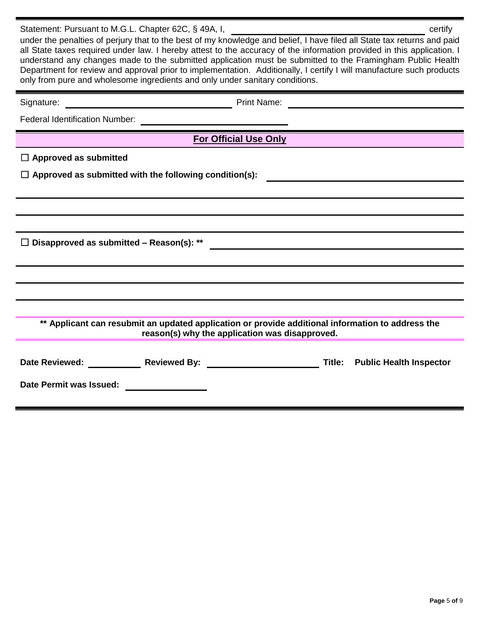| Statement: Pursuant to M.G.L. Chapter 62C, § 49A, I, ____________<br>certify<br>under the penalties of perjury that to the best of my knowledge and belief, I have filed all State tax returns and paid<br>all State taxes required under law. I hereby attest to the accuracy of the information provided in this application. I<br>understand any changes made to the submitted application must be submitted to the Framingham Public Health<br>Department for review and approval prior to implementation. Additionally, I certify I will manufacture such products<br>only from pure and wholesome ingredients and only under sanitary conditions. |  |  |
|---------------------------------------------------------------------------------------------------------------------------------------------------------------------------------------------------------------------------------------------------------------------------------------------------------------------------------------------------------------------------------------------------------------------------------------------------------------------------------------------------------------------------------------------------------------------------------------------------------------------------------------------------------|--|--|
| Print Name: _<br>Signature:                                                                                                                                                                                                                                                                                                                                                                                                                                                                                                                                                                                                                             |  |  |
|                                                                                                                                                                                                                                                                                                                                                                                                                                                                                                                                                                                                                                                         |  |  |
| For Official Use Only                                                                                                                                                                                                                                                                                                                                                                                                                                                                                                                                                                                                                                   |  |  |
| $\Box$ Approved as submitted                                                                                                                                                                                                                                                                                                                                                                                                                                                                                                                                                                                                                            |  |  |
| $\Box$ Approved as submitted with the following condition(s):                                                                                                                                                                                                                                                                                                                                                                                                                                                                                                                                                                                           |  |  |
|                                                                                                                                                                                                                                                                                                                                                                                                                                                                                                                                                                                                                                                         |  |  |
|                                                                                                                                                                                                                                                                                                                                                                                                                                                                                                                                                                                                                                                         |  |  |
| $\Box$ Disapproved as submitted – Reason(s): **<br><u> 1989 - Johann John Stein, marwolaethau (b. 1989)</u>                                                                                                                                                                                                                                                                                                                                                                                                                                                                                                                                             |  |  |
|                                                                                                                                                                                                                                                                                                                                                                                                                                                                                                                                                                                                                                                         |  |  |
|                                                                                                                                                                                                                                                                                                                                                                                                                                                                                                                                                                                                                                                         |  |  |
|                                                                                                                                                                                                                                                                                                                                                                                                                                                                                                                                                                                                                                                         |  |  |
| ** Applicant can resubmit an updated application or provide additional information to address the<br>reason(s) why the application was disapproved.                                                                                                                                                                                                                                                                                                                                                                                                                                                                                                     |  |  |
| Date Reviewed: Reviewed By:<br><b>Title:</b> Public Health Inspector<br>Date Permit was Issued:                                                                                                                                                                                                                                                                                                                                                                                                                                                                                                                                                         |  |  |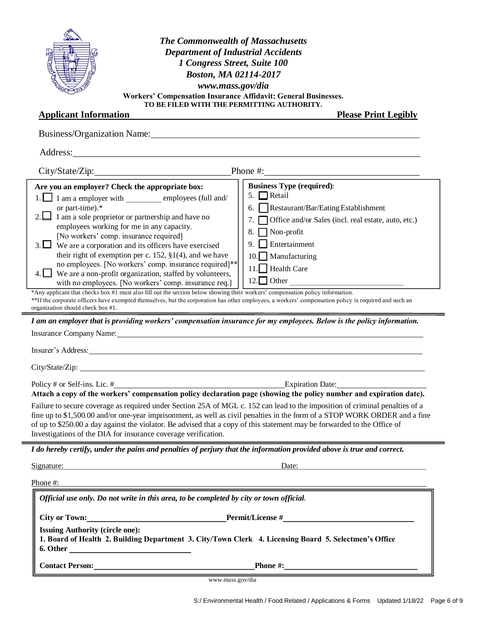| <b>The Commonwealth of Massachusetts</b>                                                                                                                                                                                                                                                                                                                                                                                                                 |  |  |
|----------------------------------------------------------------------------------------------------------------------------------------------------------------------------------------------------------------------------------------------------------------------------------------------------------------------------------------------------------------------------------------------------------------------------------------------------------|--|--|
| <b>Department of Industrial Accidents</b>                                                                                                                                                                                                                                                                                                                                                                                                                |  |  |
| 1 Congress Street, Suite 100                                                                                                                                                                                                                                                                                                                                                                                                                             |  |  |
| Boston, MA 02114-2017                                                                                                                                                                                                                                                                                                                                                                                                                                    |  |  |
| www.mass.gov/dia                                                                                                                                                                                                                                                                                                                                                                                                                                         |  |  |
| Workers' Compensation Insurance Affidavit: General Businesses.<br>TO BE FILED WITH THE PERMITTING AUTHORITY.                                                                                                                                                                                                                                                                                                                                             |  |  |
| <b>Applicant Information</b><br><b>Please Print Legibly</b>                                                                                                                                                                                                                                                                                                                                                                                              |  |  |
| Business/Organization Name: 1988 Manual Manual Manual Manual Manual Manual Manual Manual Manual Manual Manual                                                                                                                                                                                                                                                                                                                                            |  |  |
|                                                                                                                                                                                                                                                                                                                                                                                                                                                          |  |  |
|                                                                                                                                                                                                                                                                                                                                                                                                                                                          |  |  |
| <b>Business Type (required):</b><br>Are you an employer? Check the appropriate box:<br>5. $\Box$ Retail<br>$1.$ I am a employer with employees (full and/                                                                                                                                                                                                                                                                                                |  |  |
| or part-time).*<br>6.   Restaurant/Bar/Eating Establishment                                                                                                                                                                                                                                                                                                                                                                                              |  |  |
| I am a sole proprietor or partnership and have no<br>Office and/or Sales (incl. real estate, auto, etc.)<br>7.                                                                                                                                                                                                                                                                                                                                           |  |  |
| employees working for me in any capacity.<br>8.<br>Non-profit                                                                                                                                                                                                                                                                                                                                                                                            |  |  |
| [No workers' comp. insurance required]<br>Entertainment<br>9.                                                                                                                                                                                                                                                                                                                                                                                            |  |  |
| 3. $\Box$ We are a corporation and its officers have exercised<br>their right of exemption per c. 152, $\S1(4)$ , and we have<br>Manufacturing<br>10.                                                                                                                                                                                                                                                                                                    |  |  |
| no employees. [No workers' comp. insurance required]**<br>11. Health Care                                                                                                                                                                                                                                                                                                                                                                                |  |  |
| We are a non-profit organization, staffed by volunteers,                                                                                                                                                                                                                                                                                                                                                                                                 |  |  |
| $12.$ Other<br>with no employees. [No workers' comp. insurance req.]                                                                                                                                                                                                                                                                                                                                                                                     |  |  |
| *Any applicant that checks box #1 must also fill out the section below showing their workers' compensation policy information.<br>**If the corporate officers have exempted themselves, but the corporation has other employees, a workers' compensation policy is required and such an<br>organization should check box #1.                                                                                                                             |  |  |
| I am an employer that is providing workers' compensation insurance for my employees. Below is the policy information.                                                                                                                                                                                                                                                                                                                                    |  |  |
| Insurance Company Name: New York Company Name:                                                                                                                                                                                                                                                                                                                                                                                                           |  |  |
| Insurer's Address: The Contract of the Contract of the Contract of the Contract of the Contract of the Contract of the Contract of the Contract of the Contract of the Contract of the Contract of the Contract of the Contrac                                                                                                                                                                                                                           |  |  |
|                                                                                                                                                                                                                                                                                                                                                                                                                                                          |  |  |
| Expiration Date:<br>Policy # or Self-ins. Lic. #                                                                                                                                                                                                                                                                                                                                                                                                         |  |  |
| Attach a copy of the workers' compensation policy declaration page (showing the policy number and expiration date).                                                                                                                                                                                                                                                                                                                                      |  |  |
| Failure to secure coverage as required under Section 25A of MGL c. 152 can lead to the imposition of criminal penalties of a<br>fine up to \$1,500.00 and/or one-year imprisonment, as well as civil penalties in the form of a STOP WORK ORDER and a fine<br>of up to \$250.00 a day against the violator. Be advised that a copy of this statement may be forwarded to the Office of<br>Investigations of the DIA for insurance coverage verification. |  |  |
| I do hereby certify, under the pains and penalties of perjury that the information provided above is true and correct.                                                                                                                                                                                                                                                                                                                                   |  |  |
| Signature: Date: Date: Date:                                                                                                                                                                                                                                                                                                                                                                                                                             |  |  |
| Phone #:                                                                                                                                                                                                                                                                                                                                                                                                                                                 |  |  |
| Official use only. Do not write in this area, to be completed by city or town official.                                                                                                                                                                                                                                                                                                                                                                  |  |  |
|                                                                                                                                                                                                                                                                                                                                                                                                                                                          |  |  |
| <b>Issuing Authority (circle one):</b><br>1. Board of Health 2. Building Department 3. City/Town Clerk 4. Licensing Board 5. Selectmen's Office                                                                                                                                                                                                                                                                                                          |  |  |
| <b>Contact Person:</b> Phone #:                                                                                                                                                                                                                                                                                                                                                                                                                          |  |  |

www.mass.gov/dia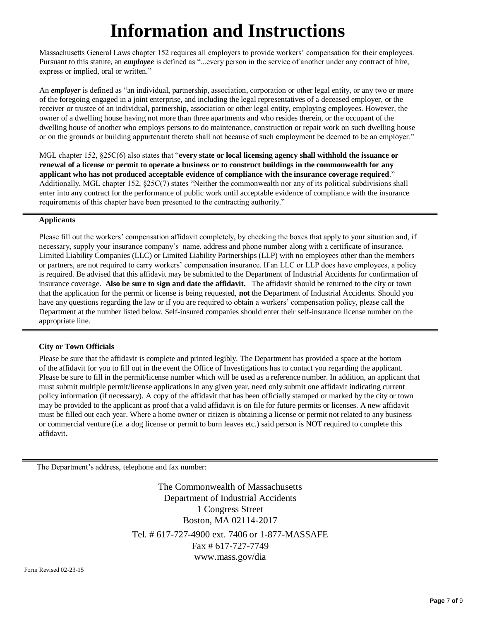# **Information and Instructions**

Massachusetts General Laws chapter 152 requires all employers to provide workers' compensation for their employees. Pursuant to this statute, an *employee* is defined as "...every person in the service of another under any contract of hire, express or implied, oral or written."

An *employer* is defined as "an individual, partnership, association, corporation or other legal entity, or any two or more of the foregoing engaged in a joint enterprise, and including the legal representatives of a deceased employer, or the receiver or trustee of an individual, partnership, association or other legal entity, employing employees. However, the owner of a dwelling house having not more than three apartments and who resides therein, or the occupant of the dwelling house of another who employs persons to do maintenance, construction or repair work on such dwelling house or on the grounds or building appurtenant thereto shall not because of such employment be deemed to be an employer."

MGL chapter 152, §25C(6) also states that "**every state or local licensing agency shall withhold the issuance or renewal of a license or permit to operate a business or to construct buildings in the commonwealth for any applicant who has not produced acceptable evidence of compliance with the insurance coverage required**." Additionally, MGL chapter 152, §25C(7) states "Neither the commonwealth nor any of its political subdivisions shall enter into any contract for the performance of public work until acceptable evidence of compliance with the insurance requirements of this chapter have been presented to the contracting authority."

#### **Applicants**

Please fill out the workers' compensation affidavit completely, by checking the boxes that apply to your situation and, if necessary, supply your insurance company's name, address and phone number along with a certificate of insurance. Limited Liability Companies (LLC) or Limited Liability Partnerships (LLP) with no employees other than the members or partners, are not required to carry workers' compensation insurance. If an LLC or LLP does have employees, a policy is required. Be advised that this affidavit may be submitted to the Department of Industrial Accidents for confirmation of insurance coverage. **Also be sure to sign and date the affidavit.** The affidavit should be returned to the city or town that the application for the permit or license is being requested, **not** the Department of Industrial Accidents. Should you have any questions regarding the law or if you are required to obtain a workers' compensation policy, please call the Department at the number listed below. Self-insured companies should enter their self-insurance license number on the appropriate line.

#### **City or Town Officials**

Please be sure that the affidavit is complete and printed legibly. The Department has provided a space at the bottom of the affidavit for you to fill out in the event the Office of Investigations has to contact you regarding the applicant. Please be sure to fill in the permit/license number which will be used as a reference number. In addition, an applicant that must submit multiple permit/license applications in any given year, need only submit one affidavit indicating current policy information (if necessary). A copy of the affidavit that has been officially stamped or marked by the city or town may be provided to the applicant as proof that a valid affidavit is on file for future permits or licenses. A new affidavit must be filled out each year. Where a home owner or citizen is obtaining a license or permit not related to any business or commercial venture (i.e. a dog license or permit to burn leaves etc.) said person is NOT required to complete this affidavit.

The Department's address, telephone and fax number:

The Commonwealth of Massachusetts Department of Industrial Accidents 1 Congress Street Boston, MA 02114-2017 Tel. # 617-727-4900 ext. 7406 or 1-877-MASSAFE Fax # 617-727-7749 www.mass.gov/dia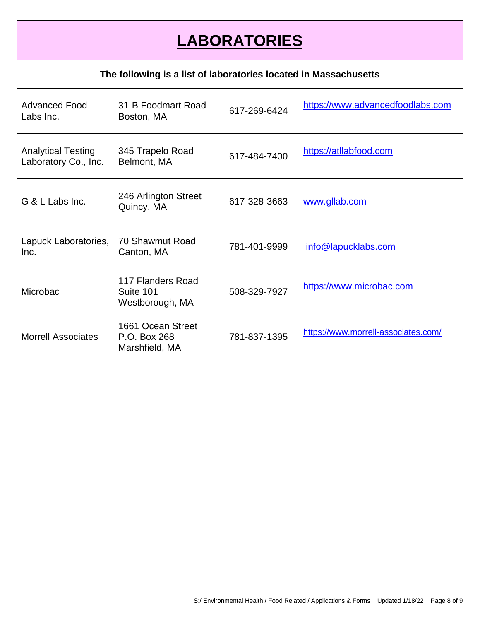# **LABORATORIES**

### **The following is a list of laboratories located in Massachusetts**

| <b>Advanced Food</b><br>Labs Inc.                 | 31-B Foodmart Road<br>Boston, MA                    | 617-269-6424 | https://www.advancedfoodlabs.com    |
|---------------------------------------------------|-----------------------------------------------------|--------------|-------------------------------------|
| <b>Analytical Testing</b><br>Laboratory Co., Inc. | 345 Trapelo Road<br>Belmont, MA                     | 617-484-7400 | https://atllabfood.com              |
| G & L Labs Inc.                                   | 246 Arlington Street<br>Quincy, MA                  | 617-328-3663 | www.gllab.com                       |
| Lapuck Laboratories,<br>Inc.                      | 70 Shawmut Road<br>Canton, MA                       | 781-401-9999 | info@lapucklabs.com                 |
| Microbac                                          | 117 Flanders Road<br>Suite 101<br>Westborough, MA   | 508-329-7927 | https://www.microbac.com            |
| <b>Morrell Associates</b>                         | 1661 Ocean Street<br>P.O. Box 268<br>Marshfield, MA | 781-837-1395 | https://www.morrell-associates.com/ |